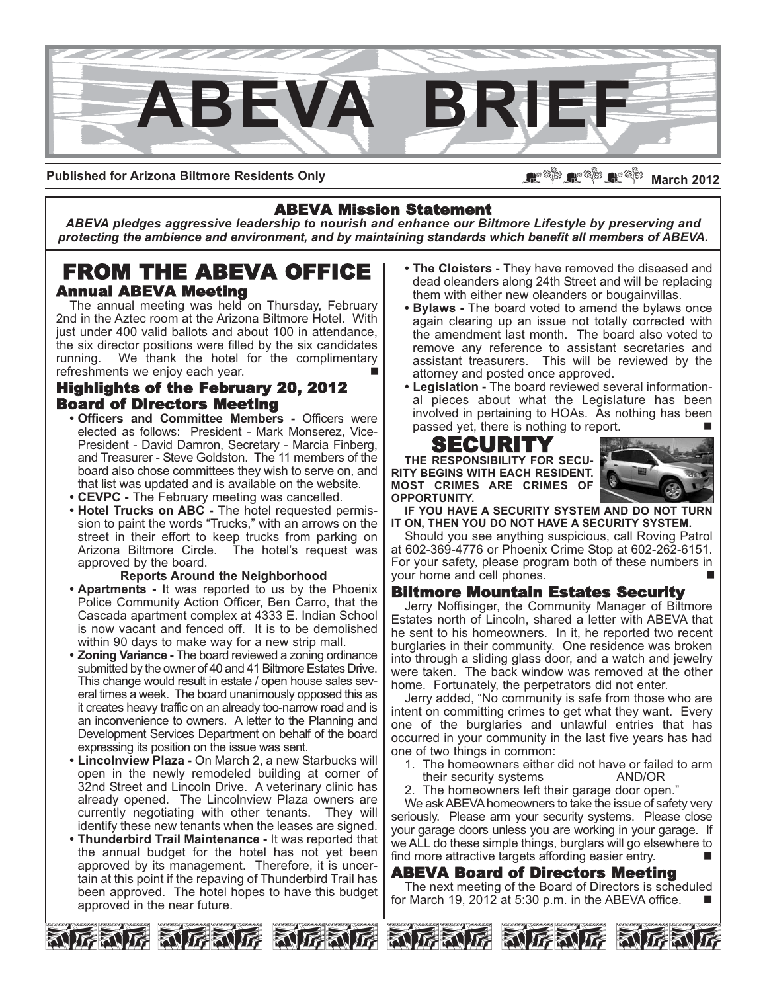

**Published for Arizona Biltmore Residents Only**

# ABEVA Mission Statement

*ABEVA pledges aggressive leadership to nourish and enhance our Biltmore Lifestyle by preserving and protecting the ambience and environment, and by maintaining standards which benefit all members of ABEVA.*

# FROM THE ABEVA OFFICE Annual ABEVA Meeting

The annual meeting was held on Thursday, February 2nd in the Aztec room at the Arizona Biltmore Hotel. With just under 400 valid ballots and about 100 in attendance, the six director positions were filled by the six candidates running. We thank the hotel for the complimentary refreshments we enjoy each year.

# Highlights of the February 20, 2012 Board of Directors Meeting

- **Officers and Committee Members -** Officers were elected as follows: President - Mark Monserez, Vice-President - David Damron, Secretary - Marcia Finberg, and Treasurer - Steve Goldston. The 11 members of the board also chose committees they wish to serve on, and that list was updated and is available on the website.
- **CEVPC** The February meeting was cancelled.
- **Hotel Trucks on ABC** The hotel requested permission to paint the words "Trucks," with an arrows on the street in their effort to keep trucks from parking on Arizona Biltmore Circle. The hotel's request was approved by the board.

#### **Reports Around the Neighborhood**

- **Apartments** It was reported to us by the Phoenix Police Community Action Officer, Ben Carro, that the Cascada apartment complex at 4333 E. Indian School is now vacant and fenced off. It is to be demolished within 90 days to make way for a new strip mall.
- **Zoning Variance** The board reviewed a zoning ordinance submitted by the owner of 40 and 41 Biltmore Estates Drive. This change would result in estate / open house sales several times a week. The board unanimously opposed this as it creates heavy traffic on an already too-narrow road and is an inconvenience to owners. A letter to the Planning and Development Services Department on behalf of the board expressing its position on the issue was sent.
- **Lincolnview Plaza** On March 2, a new Starbucks will open in the newly remodeled building at corner of 32nd Street and Lincoln Drive. A veterinary clinic has already opened. The Lincolnview Plaza owners are currently negotiating with other tenants. They will identify these new tenants when the leases are signed.
- **Thunderbird Trail Maintenance** It was reported that the annual budget for the hotel has not yet been approved by its management. Therefore, it is uncertain at this point if the repaving of Thunderbird Trail has been approved. The hotel hopes to have this budget approved in the near future.
- **The Cloisters** They have removed the diseased and dead oleanders along 24th Street and will be replacing them with either new oleanders or bougainvillas.
- **Bylaws -** The board voted to amend the bylaws once again clearing up an issue not totally corrected with the amendment last month. The board also voted to remove any reference to assistant secretaries and assistant treasurers. This will be reviewed by the attorney and posted once approved.
- **Legislation** The board reviewed several informational pieces about what the Legislature has been involved in pertaining to HOAs. As nothing has been passed yet, there is nothing to report.

#### SECURITY **THE RESPONSIBILITY FOR SECU-RITY BEGINS WITH EACH RESIDENT. MOST CRIMES ARE CRIMES OF OPPORTUNITY.**



- **IF YOU HAVE A SECURITY SYSTEM AND DO NOT TURN IT ON, THEN YOU DO NOT HAVE A SECURITY SYSTEM.**
- Should you see anything suspicious, call Roving Patrol at 602-369-4776 or Phoenix Crime Stop at 602-262-6151. For your safety, please program both of these numbers in your home and cell phones.

## Biltmore Mountain Estates Security

Jerry Noffisinger, the Community Manager of Biltmore Estates north of Lincoln, shared a letter with ABEVA that he sent to his homeowners. In it, he reported two recent burglaries in their community. One residence was broken into through a sliding glass door, and a watch and jewelry were taken. The back window was removed at the other home. Fortunately, the perpetrators did not enter.

Jerry added, "No community is safe from those who are intent on committing crimes to get what they want. Every one of the burglaries and unlawful entries that has occurred in your community in the last five years has had one of two things in common:

- 1. The homeowners either did not have or failed to arm<br>their security systems AND/OR their security systems
- 2. The homeowners left their garage door open."

We ask ABEVA homeowners to take the issue of safety very seriously. Please arm your security systems. Please close your garage doors unless you are working in your garage. If we ALL do these simple things, burglars will go elsewhere to find more attractive targets affording easier entry.

# ABEVA Board of Directors Meeting

The next meeting of the Board of Directors is scheduled for March 19, 2012 at 5:30 p.m. in the ABEVA office.







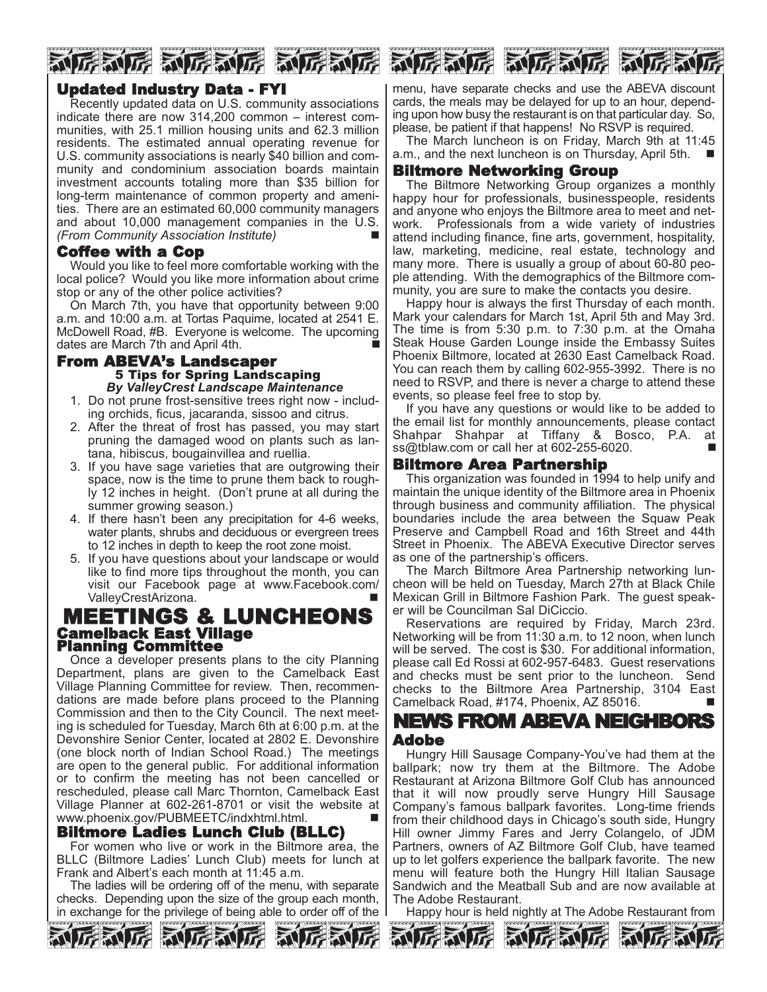

# Updated Industry Data - FYI

Recently updated data on U.S. community associations indicate there are now 314,200 common – interest communities, with 25.1 million housing units and 62.3 million residents. The estimated annual operating revenue for U.S. community associations is nearly \$40 billion and community and condominium association boards maintain investment accounts totaling more than \$35 billion for long-term maintenance of common property and amenities. There are an estimated 60,000 community managers and about 10,000 management companies in the U.S. *(From Community Association Institute)* 

## Coffee with a Cop

Would you like to feel more comfortable working with the local police? Would you like more information about crime stop or any of the other police activities?

On March 7th, you have that opportunity between 9:00 a.m. and 10:00 a.m. at Tortas Paquime, located at 2541 E. McDowell Road, #B. Everyone is welcome. The upcoming dates are March 7th and April 4th.

#### From ABEVA's Landscaper 5 Tips for Spring Landscaping *By ValleyCrest Landscape Maintenance*

- 1. Do not prune frost-sensitive trees right now including orchids, ficus, jacaranda, sissoo and citrus.
- 2. After the threat of frost has passed, you may start pruning the damaged wood on plants such as lantana, hibiscus, bougainvillea and ruellia.
- 3. If you have sage varieties that are outgrowing their space, now is the time to prune them back to roughly 12 inches in height. (Don't prune at all during the summer growing season.)
- 4. If there hasn't been any precipitation for 4-6 weeks, water plants, shrubs and deciduous or evergreen trees to 12 inches in depth to keep the root zone moist.
- 5. If you have questions about your landscape or would like to find more tips throughout the month, you can visit our Facebook page at www.Facebook.com/ ValleyCrestArizona.

#### MEETINGS & LUNCHEONS Camelback East Village Planning Committee

Once a developer presents plans to the city Planning Department, plans are given to the Camelback East Village Planning Committee for review. Then, recommendations are made before plans proceed to the Planning Commission and then to the City Council. The next meeting is scheduled for Tuesday, March 6th at 6:00 p.m. at the Devonshire Senior Center, located at 2802 E. Devonshire (one block north of Indian School Road.) The meetings are open to the general public. For additional information or to confirm the meeting has not been cancelled or rescheduled, please call Marc Thornton, Camelback East Village Planner at 602-261-8701 or visit the website at www.phoenix.gov/PUBMEETC/indxhtml.html.

## Biltmore Ladies Lunch Club (BLLC)

For women who live or work in the Biltmore area, the BLLC (Biltmore Ladies' Lunch Club) meets for lunch at Frank and Albert's each month at 11:45 a.m.

The ladies will be ordering off of the menu, with separate checks. Depending upon the size of the group each month, in exchange for the privilege of being able to order off of the

KN 17



**KNIF** 



menu, have separate checks and use the ABEVA discount cards, the meals may be delayed for up to an hour, depending upon how busy the restaurant is on that particular day. So, please, be patient if that happens! No RSVP is required.

The March luncheon is on Friday, March 9th at 11:45 a.m., and the next luncheon is on Thursday, April 5th.

# Biltmore Networking Group

The Biltmore Networking Group organizes a monthly happy hour for professionals, businesspeople, residents and anyone who enjoys the Biltmore area to meet and network. Professionals from a wide variety of industries attend including finance, fine arts, government, hospitality, law, marketing, medicine, real estate, technology and many more. There is usually a group of about 60-80 people attending. With the demographics of the Biltmore community, you are sure to make the contacts you desire.

Happy hour is always the first Thursday of each month. Mark your calendars for March 1st, April 5th and May 3rd. The time is from 5:30 p.m. to 7:30 p.m. at the Omaha Steak House Garden Lounge inside the Embassy Suites Phoenix Biltmore, located at 2630 East Camelback Road. You can reach them by calling 602-955-3992. There is no need to RSVP, and there is never a charge to attend these events, so please feel free to stop by.

If you have any questions or would like to be added to the email list for monthly announcements, please contact Shahpar Shahpar at Tiffany & Bosco, P.A. at ss@tblaw.com or call her at 602-255-6020.

#### Biltmore Area Partnership

This organization was founded in 1994 to help unify and maintain the unique identity of the Biltmore area in Phoenix through business and community affiliation. The physical boundaries include the area between the Squaw Peak Preserve and Campbell Road and 16th Street and 44th Street in Phoenix. The ABEVA Executive Director serves as one of the partnership's officers.

The March Biltmore Area Partnership networking luncheon will be held on Tuesday, March 27th at Black Chile Mexican Grill in Biltmore Fashion Park. The guest speaker will be Councilman Sal DiCiccio.

Reservations are required by Friday, March 23rd. Networking will be from 11:30 a.m. to 12 noon, when lunch will be served. The cost is \$30. For additional information, please call Ed Rossi at 602-957-6483. Guest reservations and checks must be sent prior to the luncheon. Send checks to the Biltmore Area Partnership, 3104 East Camelback Road, #174, Phoenix, AZ 85016.

## NEWS FROM ABEVA NEIGHBORS Adobe

Hungry Hill Sausage Company-You've had them at the ballpark; now try them at the Biltmore. The Adobe Restaurant at Arizona Biltmore Golf Club has announced that it will now proudly serve Hungry Hill Sausage Company's famous ballpark favorites. Long-time friends from their childhood days in Chicago's south side, Hungry Hill owner Jimmy Fares and Jerry Colangelo, of JDM Partners, owners of AZ Biltmore Golf Club, have teamed up to let golfers experience the ballpark favorite. The new menu will feature both the Hungry Hill Italian Sausage Sandwich and the Meatball Sub and are now available at The Adobe Restaurant.

Happy hour is held nightly at The Adobe Restaurant from





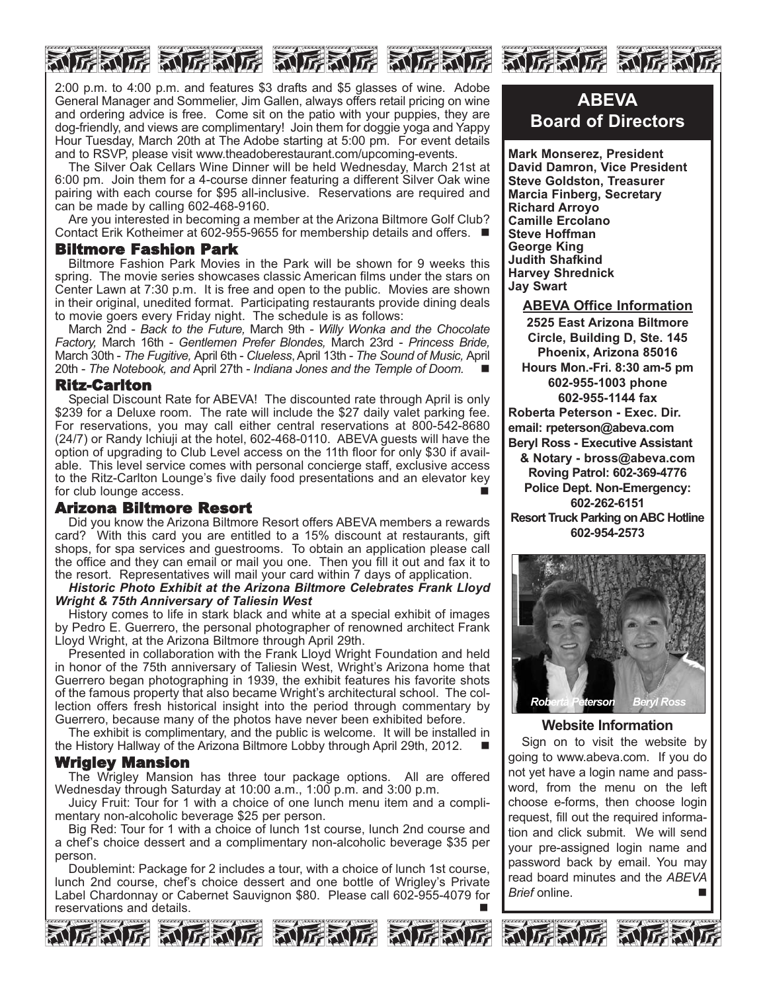2:00 p.m. to 4:00 p.m. and features \$3 drafts and \$5 glasses of wine. Adobe General Manager and Sommelier, Jim Gallen, always offers retail pricing on wine and ordering advice is free. Come sit on the patio with your puppies, they are dog-friendly, and views are complimentary! Join them for doggie yoga and Yappy Hour Tuesday, March 20th at The Adobe starting at 5:00 pm. For event details and to RSVP, please visit www.theadoberestaurant.com/upcoming-events.

厉风厉 风厉风厉 风厉风厉 风

The Silver Oak Cellars Wine Dinner will be held Wednesday, March 21st at 6:00 pm. Join them for a 4-course dinner featuring a different Silver Oak wine pairing with each course for \$95 all-inclusive. Reservations are required and can be made by calling 602-468-9160.

Are you interested in becoming a member at the Arizona Biltmore Golf Club? Contact Erik Kotheimer at 602-955-9655 for membership details and offers. ■

#### Biltmore Fashion Park

Biltmore Fashion Park Movies in the Park will be shown for 9 weeks this spring. The movie series showcases classic American films under the stars on Center Lawn at 7:30 p.m. It is free and open to the public. Movies are shown in their original, unedited format. Participating restaurants provide dining deals to movie goers every Friday night. The schedule is as follows:

March 2nd - *Back to the Future,* March 9th *- Willy Wonka and the Chocolate Factory,* March 16th - *Gentlemen Prefer Blondes,* March 23rd - *Princess Bride,* March 30th - *The Fugitive,* April 6th - *Clueless*, April 13th - *The Sound of Music,* April 20th - *The Notebook, and* April 27th - *Indiana Jones and the Temple of Doom.* n

#### Ritz-Carlton

Special Discount Rate for ABEVA! The discounted rate through April is only \$239 for a Deluxe room. The rate will include the \$27 daily valet parking fee. For reservations, you may call either central reservations at 800-542-8680 (24/7) or Randy Ichiuji at the hotel, 602-468-0110. ABEVA guests will have the option of upgrading to Club Level access on the 11th floor for only \$30 if available. This level service comes with personal concierge staff, exclusive access to the Ritz-Carlton Lounge's five daily food presentations and an elevator key for club lounge access.

## Arizona Biltmore Resort

Did you know the Arizona Biltmore Resort offers ABEVA members a rewards card? With this card you are entitled to a 15% discount at restaurants, gift shops, for spa services and guestrooms. To obtain an application please call the office and they can email or mail you one. Then you fill it out and fax it to the resort. Representatives will mail your card within 7 days of application.

*Historic Photo Exhibit at the Arizona Biltmore Celebrates Frank Lloyd Wright & 75th Anniversary of Taliesin West* 

History comes to life in stark black and white at a special exhibit of images by Pedro E. Guerrero, the personal photographer of renowned architect Frank Lloyd Wright, at the Arizona Biltmore through April 29th.

Presented in collaboration with the Frank Lloyd Wright Foundation and held in honor of the 75th anniversary of Taliesin West, Wright's Arizona home that Guerrero began photographing in 1939, the exhibit features his favorite shots of the famous property that also became Wright's architectural school. The collection offers fresh historical insight into the period through commentary by Guerrero, because many of the photos have never been exhibited before.

The exhibit is complimentary, and the public is welcome. It will be installed in the History Hallway of the Arizona Biltmore Lobby through April 29th, 2012.

#### Wrigley Mansion

The Wrigley Mansion has three tour package options. All are offered Wednesday through Saturday at 10:00 a.m., 1:00 p.m. and 3:00 p.m.

Juicy Fruit: Tour for 1 with a choice of one lunch menu item and a complimentary non-alcoholic beverage \$25 per person.

Big Red: Tour for 1 with a choice of lunch 1st course, lunch 2nd course and a chef's choice dessert and a complimentary non-alcoholic beverage \$35 per person.

Doublemint: Package for 2 includes a tour, with a choice of lunch 1st course, lunch 2nd course, chef's choice dessert and one bottle of Wrigley's Private Label Chardonnay or Cabernet Sauvignon \$80. Please call 602-955-4079 for reservations and details.







新房新房 新房新

**Mark Monserez, President David Damron, Vice President Steve Goldston, Treasurer Marcia Finberg, Secretary Richard Arroyo Camille Ercolano Steve Hoffman George King Judith Shafkind Harvey Shrednick Jay Swart**

**ABEVA Office Information 2525 East Arizona Biltmore Circle, Building D, Ste. 145 Phoenix, Arizona 85016 Hours Mon.-Fri. 8:30 am-5 pm 602-955-1003 phone 602-955-1144 fax Roberta Peterson - Exec. Dir. email: rpeterson@abeva.com Beryl Ross - Executive Assistant & Notary - bross@abeva.com Roving Patrol: 602-369-4776 Police Dept. Non-Emergency: 602-262-6151 Resort Truck Parking on ABC Hotline 602-954-2573**



**Website Information**

Sign on to visit the website by going to www.abeva.com. If you do not yet have a login name and password, from the menu on the left choose e-forms, then choose login request, fill out the required information and click submit. We will send your pre-assigned login name and password back by email. You may read board minutes and the *ABEVA Brief* online. n